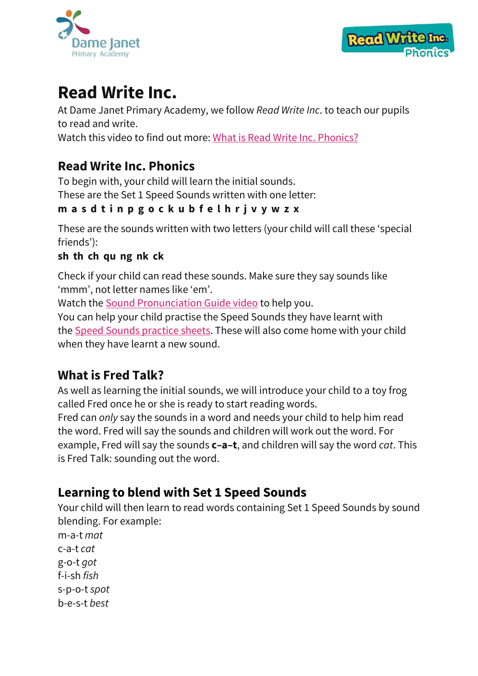



# **Read Write Inc.**

At Dame Janet Primary Academy, we follow *Read Write Inc*. to teach our pupils to read and write. Watch this video to find out more: What is Read Write Inc. [Phonics?](https://www.youtube.com/watch?v=sjlPILhk7bQ)

## **Read Write Inc. Phonics**

To begin with, your child will learn the initial sounds. These are the Set 1 Speed Sounds written with one letter:

#### **m a s d t i n p g o c k u b f e l h r j v y w z x**

These are the sounds written with two letters (your child will call these 'special friends'):

#### **sh th ch qu ng nk ck**

Check if your child can read these sounds. Make sure they say sounds like 'mmm', not letter names like 'em'.

Watch the Sound [Pronunciation](https://www.oxfordowl.co.uk/for-home/reading-owl/find-a-book/read-write-inc-phonics--1/phonics-pure-sounds-video) Guide video to help you.

You can help your child practise the Speed Sounds they have learnt with the Speed Sounds [practice](https://home.oxfordowl.co.uk/reading/reading-schemes-oxford-levels/read-write-inc-phonics-guide/#set1ssps) sheets. These will also come home with your child when they have learnt a new sound.

## **What is Fred Talk?**

As well as learning the initial sounds, we will introduce your child to a toy frog called Fred once he or she is ready to start reading words.

Fred can *only* say the sounds in a word and needs your child to help him read the word. Fred will say the sounds and children will work out the word. For example, Fred will say the sounds **c–a–t**, and children will say the word *cat*. This is Fred Talk: sounding out the word.

## **Learning to blend with Set 1 Speed Sounds**

Your child will then learn to read words containing Set 1 Speed Sounds by sound blending. For example:

m-a-t *mat* c-a-t *cat* g-o-t *got* f-i-sh *fish* s-p-o-t *spot* b-e-s-t *best*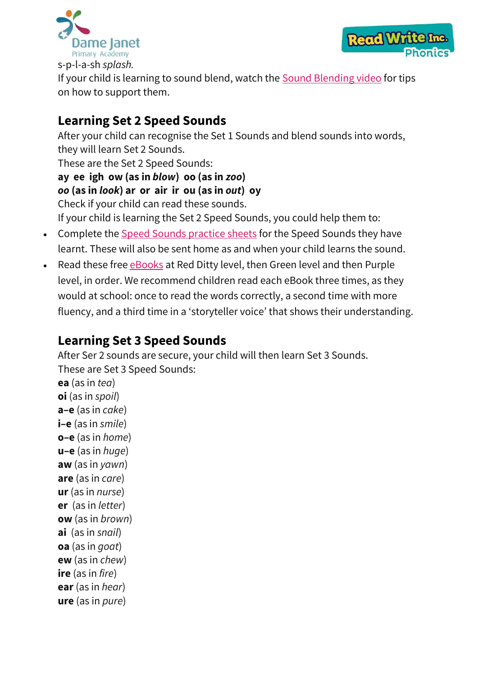



If your child is learning to sound blend, watch the Sound [Blending](https://www.youtube.com/watch?v=MNyFikwNQTg) video for tips on how to support them.

## **Learning Set 2 Speed Sounds**

After your child can recognise the Set 1 Sounds and blend sounds into words, they will learn Set 2 Sounds. These are the Set 2 Speed Sounds: **ay ee igh ow (as in** *blow***) oo (as in** *zoo***)** *oo* **(as in** *look***) ar or air ir ou (as in** *out***) oy** Check if your child can read these sounds. If your child is learning the Set 2 Speed Sounds, you could help them to:

- Complete the Speed Sounds [practice](https://home.oxfordowl.co.uk/reading/reading-schemes-oxford-levels/read-write-inc-phonics-guide/#set2ssps) sheets for the Speed Sounds they have learnt. These will also be sent home as and when your child learns the sound.
- Read these free **[eBooks](https://www.oxfordowl.co.uk/home/reading-site/find-a-book/library-page?view=image&query=&type=book&age_group=&level=&level_select=&book_type=&series=Read+Write+Inc.)** at Red Ditty level, then Green level and then Purple level, in order. We recommend children read each eBook three times, as they would at school: once to read the words correctly, a second time with more fluency, and a third time in a 'storyteller voice' that shows their understanding.

#### **Learning Set 3 Speed Sounds**

After Ser 2 sounds are secure, your child will then learn Set 3 Sounds. These are Set 3 Speed Sounds: **ea** (as in *tea*) **oi** (as in *spoil*) **a–e** (as in *cake*) **i–e** (as in *smile*) **o–e** (as in *home*) **u–e** (as in *huge*) **aw** (as in *yawn*) **are** (as in *care*) **ur** (as in *nurse*) **er** (as in *letter*) **ow** (as in *brown*) **ai** (as in *snail*) **oa** (as in *goat*) **ew** (as in *chew*) **ire** (as in *fire*) **ear** (as in *hear*)

**ure** (as in *pure*)